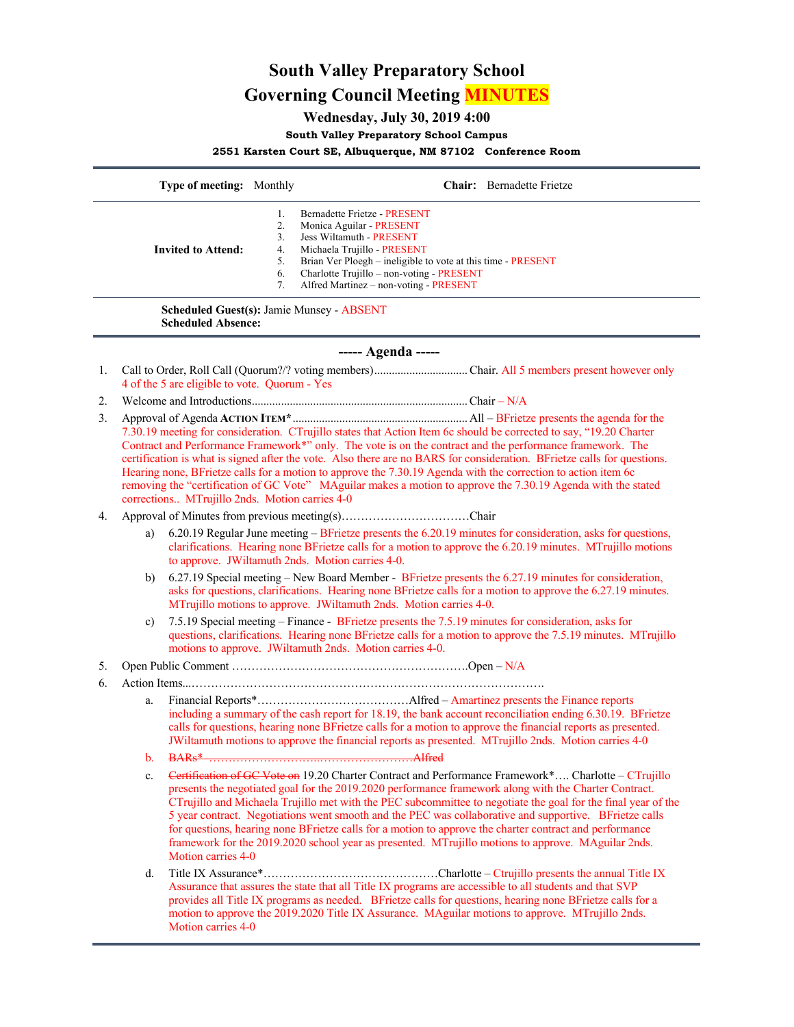# **South Valley Preparatory School Governing Council Meeting MINUTES**

## **Wednesday, July 30, 2019 4:00**

#### **South Valley Preparatory School Campus**

### **2551 Karsten Court SE, Albuquerque, NM 87102 Conference Room**

|               | <b>Type of meeting:</b> Monthly               |    | <b>Chair:</b> Bernadette Frietze                             |
|---------------|-----------------------------------------------|----|--------------------------------------------------------------|
|               |                                               |    | Bernadette Frietze - PRESENT                                 |
|               |                                               |    | Monica Aguilar - PRESENT                                     |
|               |                                               | 3. | Jess Wiltamuth - PRESENT                                     |
|               | <b>Invited to Attend:</b>                     | 4. | Michaela Trujillo - PRESENT                                  |
|               |                                               | 5. | Brian Ver Ploegh – ineligible to vote at this time - PRESENT |
|               |                                               | 6. | Charlotte Trujillo – non-voting - PRESENT                    |
|               |                                               |    | Alfred Martinez - non-voting - PRESENT                       |
|               | <b>Scheduled Absence:</b>                     |    | <b>Scheduled Guest(s): Jamie Munsey - ABSENT</b>             |
|               |                                               |    | $---$ Agenda $---$                                           |
| 1.            | 4 of the 5 are eligible to vote. Quorum - Yes |    |                                                              |
| $\mathcal{D}$ | Chair – $N/A$                                 |    |                                                              |
|               |                                               |    |                                                              |

- 3. Approval of Agenda **ACTION ITEM\***............................................................All BFrietze presents the agenda for the 7.30.19 meeting for consideration. CTrujillo states that Action Item 6c should be corrected to say, "19.20 Charter Contract and Performance Framework\*" only. The vote is on the contract and the performance framework. The certification is what is signed after the vote. Also there are no BARS for consideration. BFrietze calls for questions. Hearing none, BFrietze calls for a motion to approve the 7.30.19 Agenda with the correction to action item 6c removing the "certification of GC Vote" MAguilar makes a motion to approve the 7.30.19 Agenda with the stated corrections.. MTrujillo 2nds. Motion carries 4-0
- 4. Approval of Minutes from previous meeting(s)……………………………Chair
	- a) 6.20.19 Regular June meeting BFrietze presents the 6.20.19 minutes for consideration, asks for questions, clarifications. Hearing none BFrietze calls for a motion to approve the 6.20.19 minutes. MTrujillo motions to approve. JWiltamuth 2nds. Motion carries 4-0.
	- b) 6.27.19 Special meeting New Board Member BFrietze presents the 6.27.19 minutes for consideration, asks for questions, clarifications. Hearing none BFrietze calls for a motion to approve the 6.27.19 minutes. MTrujillo motions to approve. JWiltamuth 2nds. Motion carries 4-0.
	- c) 7.5.19 Special meeting Finance BFrietze presents the 7.5.19 minutes for consideration, asks for questions, clarifications. Hearing none BFrietze calls for a motion to approve the 7.5.19 minutes. MTrujillo motions to approve. JWiltamuth 2nds. Motion carries 4-0.

#### 5. Open Public Comment …………………………………………………….Open – N/A

- 6. Action Items...……………………………………………………………………………….
	- a. Financial Reports\*…………………………………Alfred Amartinez presents the Finance reports including a summary of the cash report for 18.19, the bank account reconciliation ending 6.30.19. BFrietze calls for questions, hearing none BFrietze calls for a motion to approve the financial reports as presented. JWiltamuth motions to approve the financial reports as presented. MTrujillo 2nds. Motion carries 4-0
	- b. BARs\* ………………………..……………………Alfred
	- c. Certification of GC Vote on 19.20 Charter Contract and Performance Framework\*.... Charlotte CTrujillo presents the negotiated goal for the 2019.2020 performance framework along with the Charter Contract. CTrujillo and Michaela Trujillo met with the PEC subcommittee to negotiate the goal for the final year of the 5 year contract. Negotiations went smooth and the PEC was collaborative and supportive. BFrietze calls for questions, hearing none BFrietze calls for a motion to approve the charter contract and performance framework for the 2019.2020 school year as presented. MTrujillo motions to approve. MAguilar 2nds. Motion carries 4-0
	- d. Title IX Assurance\*………………………………………Charlotte Ctrujillo presents the annual Title IX Assurance that assures the state that all Title IX programs are accessible to all students and that SVP provides all Title IX programs as needed. BFrietze calls for questions, hearing none BFrietze calls for a motion to approve the 2019.2020 Title IX Assurance. MAguilar motions to approve. MTrujillo 2nds. Motion carries 4-0